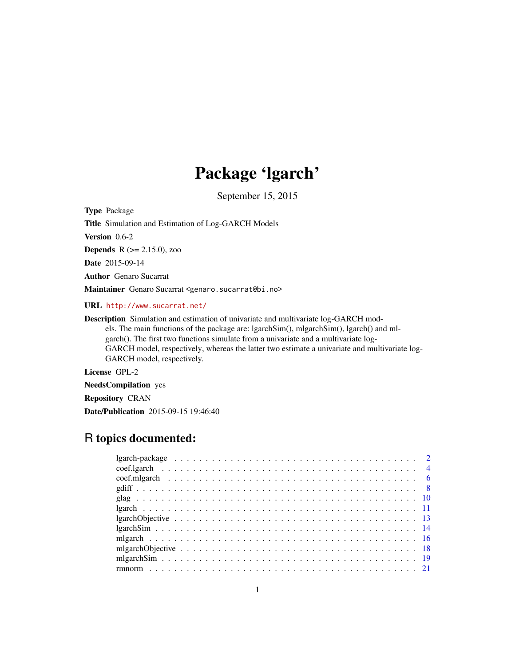# Package 'lgarch'

September 15, 2015

<span id="page-0-0"></span>Type Package

Title Simulation and Estimation of Log-GARCH Models

Version 0.6-2

**Depends** R  $(>= 2.15.0)$ , zoo

Date 2015-09-14

Author Genaro Sucarrat

Maintainer Genaro Sucarrat <genaro.sucarrat@bi.no>

URL <http://www.sucarrat.net/>

Description Simulation and estimation of univariate and multivariate log-GARCH mod-

els. The main functions of the package are: lgarchSim(), mlgarchSim(), lgarch() and mlgarch(). The first two functions simulate from a univariate and a multivariate log-

GARCH model, respectively, whereas the latter two estimate a univariate and multivariate log-GARCH model, respectively.

License GPL-2

NeedsCompilation yes

Repository CRAN

Date/Publication 2015-09-15 19:46:40

# R topics documented: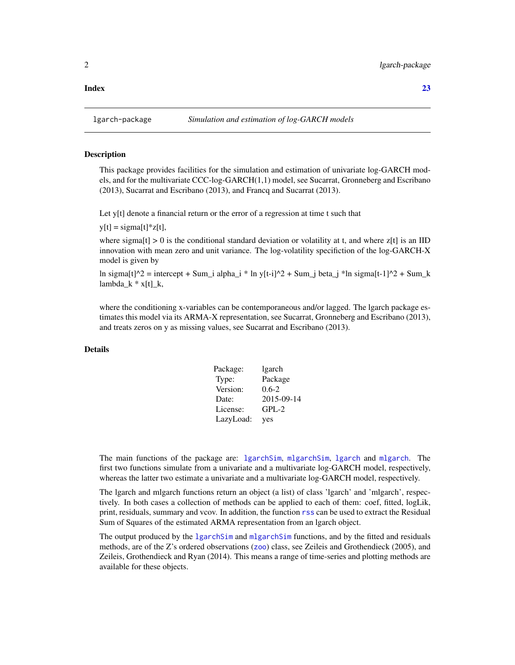#### <span id="page-1-0"></span>**Index** [23](#page-22-0)

#### Description

This package provides facilities for the simulation and estimation of univariate log-GARCH models, and for the multivariate CCC-log-GARCH(1,1) model, see Sucarrat, Gronneberg and Escribano (2013), Sucarrat and Escribano (2013), and Francq and Sucarrat (2013).

Let y[t] denote a financial return or the error of a regression at time t such that

 $y[t] = \text{sigma}[t]*z[t],$ 

where sigma[t]  $> 0$  is the conditional standard deviation or volatility at t, and where z[t] is an IID innovation with mean zero and unit variance. The log-volatility specifiction of the log-GARCH-X model is given by

ln sigma[t] $\gamma$ 2 = intercept + Sum\_i alpha\_i \* ln y[t-i] $\gamma$ 2 + Sum\_j beta\_j \*ln sigma[t-1] $\gamma$ 2 + Sum\_k  $lambda_k * x[t]_k$ ,

where the conditioning x-variables can be contemporaneous and/or lagged. The lgarch package estimates this model via its ARMA-X representation, see Sucarrat, Gronneberg and Escribano (2013), and treats zeros on y as missing values, see Sucarrat and Escribano (2013).

# Details

| Package:  | lgarch     |
|-----------|------------|
| Type:     | Package    |
| Version:  | $0.6 - 2$  |
| Date:     | 2015-09-14 |
| License:  | $GPL-2$    |
| LazyLoad: | yes        |

The main functions of the package are: 1garchSim, m[lgarchSim](#page-13-1), 1garch and m[lgarch](#page-10-1). The first two functions simulate from a univariate and a multivariate log-GARCH model, respectively, whereas the latter two estimate a univariate and a multivariate log-GARCH model, respectively.

The lgarch and mlgarch functions return an object (a list) of class 'lgarch' and 'mlgarch', respectively. In both cases a collection of methods can be applied to each of them: coef, fitted, logLik, print, residuals, summary and vcov. In addition, the function [rss](#page-3-1) can be used to extract the Residual Sum of Squares of the estimated ARMA representation from an lgarch object.

The output produced by the 1 garchSim and m[lgarchSim](#page-13-1) functions, and by the fitted and residuals methods, are of the Z's ordered observations ([zoo](#page-0-0)) class, see Zeileis and Grothendieck (2005), and Zeileis, Grothendieck and Ryan (2014). This means a range of time-series and plotting methods are available for these objects.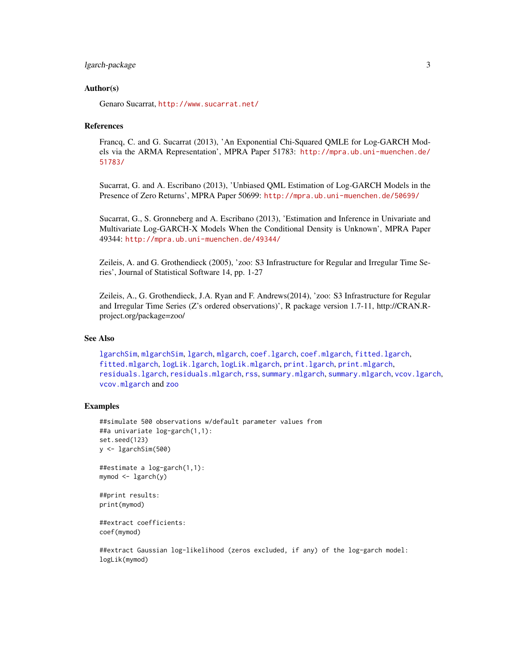# <span id="page-2-0"></span>lgarch-package 3

#### Author(s)

Genaro Sucarrat, <http://www.sucarrat.net/>

#### References

Francq, C. and G. Sucarrat (2013), 'An Exponential Chi-Squared QMLE for Log-GARCH Models via the ARMA Representation', MPRA Paper 51783: [http://mpra.ub.uni-muenchen.de/](http://mpra.ub.uni-muenchen.de/51783/) [51783/](http://mpra.ub.uni-muenchen.de/51783/)

Sucarrat, G. and A. Escribano (2013), 'Unbiased QML Estimation of Log-GARCH Models in the Presence of Zero Returns', MPRA Paper 50699: <http://mpra.ub.uni-muenchen.de/50699/>

Sucarrat, G., S. Gronneberg and A. Escribano (2013), 'Estimation and Inference in Univariate and Multivariate Log-GARCH-X Models When the Conditional Density is Unknown', MPRA Paper 49344: <http://mpra.ub.uni-muenchen.de/49344/>

Zeileis, A. and G. Grothendieck (2005), 'zoo: S3 Infrastructure for Regular and Irregular Time Series', Journal of Statistical Software 14, pp. 1-27

Zeileis, A., G. Grothendieck, J.A. Ryan and F. Andrews(2014), 'zoo: S3 Infrastructure for Regular and Irregular Time Series (Z's ordered observations)', R package version 1.7-11, http://CRAN.Rproject.org/package=zoo/

#### See Also

[lgarchSim](#page-13-1), [mlgarchSim](#page-18-1), [lgarch](#page-10-1), [mlgarch](#page-15-1), [coef.lgarch](#page-3-2), [coef.mlgarch](#page-5-1), [fitted.lgarch](#page-3-1), [fitted.mlgarch](#page-5-2), [logLik.lgarch](#page-3-1), [logLik.mlgarch](#page-5-2), [print.lgarch](#page-3-1), [print.mlgarch](#page-5-2), [residuals.lgarch](#page-3-1), [residuals.mlgarch](#page-5-2), [rss](#page-3-1), [summary.mlgarch](#page-5-2), [summary.mlgarch](#page-5-2), [vcov.lgarch](#page-3-1), [vcov.mlgarch](#page-5-2) and [zoo](#page-0-0)

#### Examples

```
##simulate 500 observations w/default parameter values from
##a univariate log-garch(1,1):
set.seed(123)
y <- lgarchSim(500)
```

```
##estimate a log-garch(1,1):
mymod <- lgarch(y)
```

```
##print results:
print(mymod)
```

```
##extract coefficients:
coef(mymod)
```
##extract Gaussian log-likelihood (zeros excluded, if any) of the log-garch model: logLik(mymod)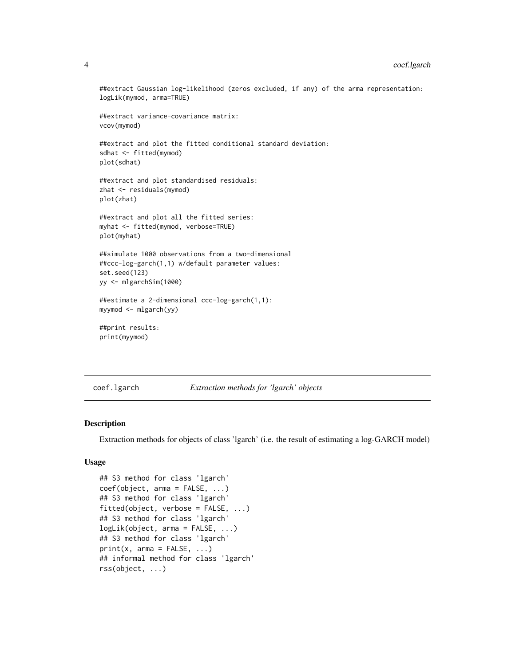##extract Gaussian log-likelihood (zeros excluded, if any) of the arma representation: logLik(mymod, arma=TRUE)

```
##extract variance-covariance matrix:
vcov(mymod)
```
##extract and plot the fitted conditional standard deviation: sdhat <- fitted(mymod) plot(sdhat)

```
##extract and plot standardised residuals:
zhat <- residuals(mymod)
plot(zhat)
```
##extract and plot all the fitted series: myhat <- fitted(mymod, verbose=TRUE) plot(myhat)

```
##simulate 1000 observations from a two-dimensional
##ccc-log-garch(1,1) w/default parameter values:
set.seed(123)
yy <- mlgarchSim(1000)
```

```
##estimate a 2-dimensional ccc-log-garch(1,1):
myymod <- mlgarch(yy)
```

```
##print results:
print(myymod)
```
<span id="page-3-2"></span>coef.lgarch *Extraction methods for 'lgarch' objects*

#### <span id="page-3-1"></span>Description

Extraction methods for objects of class 'lgarch' (i.e. the result of estimating a log-GARCH model)

### Usage

```
## S3 method for class 'lgarch'
coef(object, arma = FALSE, ...)
## S3 method for class 'lgarch'
fitted(object, verbose = FALSE, ...)
## S3 method for class 'lgarch'
logLik(object, arma = FALSE, ...)
## S3 method for class 'lgarch'
print(x, \text{arma} = FALSE, ...)## informal method for class 'lgarch'
rss(object, ...)
```
<span id="page-3-0"></span>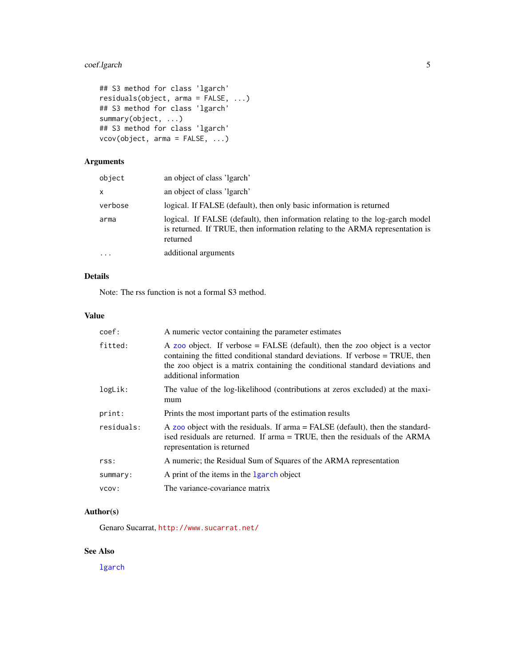# <span id="page-4-0"></span>coef.lgarch 5

```
## S3 method for class 'lgarch'
residuals(object, arma = FALSE, ...)
## S3 method for class 'lgarch'
summary(object, ...)
## S3 method for class 'lgarch'
vcov(object, arma = FALSE, ...)
```
# Arguments

| object   | an object of class 'lgarch'                                                                                                                                                |
|----------|----------------------------------------------------------------------------------------------------------------------------------------------------------------------------|
| x        | an object of class 'lgarch'                                                                                                                                                |
| verbose  | logical. If FALSE (default), then only basic information is returned                                                                                                       |
| arma     | logical. If FALSE (default), then information relating to the log-garch model<br>is returned. If TRUE, then information relating to the ARMA representation is<br>returned |
| $\ddots$ | additional arguments                                                                                                                                                       |

# Details

Note: The rss function is not a formal S3 method.

# Value

| coef:      | A numeric vector containing the parameter estimates                                                                                                                                                                                                                      |
|------------|--------------------------------------------------------------------------------------------------------------------------------------------------------------------------------------------------------------------------------------------------------------------------|
| fitted:    | A zoo object. If verbose = FALSE (default), then the zoo object is a vector<br>containing the fitted conditional standard deviations. If verbose = TRUE, then<br>the zoo object is a matrix containing the conditional standard deviations and<br>additional information |
| logLik:    | The value of the log-likelihood (contributions at zeros excluded) at the maxi-<br>mum                                                                                                                                                                                    |
| print:     | Prints the most important parts of the estimation results                                                                                                                                                                                                                |
| residuals: | A zoo object with the residuals. If $arma = FALSE$ (default), then the standard-<br>ised residuals are returned. If arma = TRUE, then the residuals of the ARMA<br>representation is returned                                                                            |
| rss:       | A numeric; the Residual Sum of Squares of the ARMA representation                                                                                                                                                                                                        |
| summary:   | A print of the items in the 1garch object                                                                                                                                                                                                                                |
| VCOV:      | The variance-covariance matrix                                                                                                                                                                                                                                           |

#### Author(s)

Genaro Sucarrat, <http://www.sucarrat.net/>

# See Also

[lgarch](#page-10-1)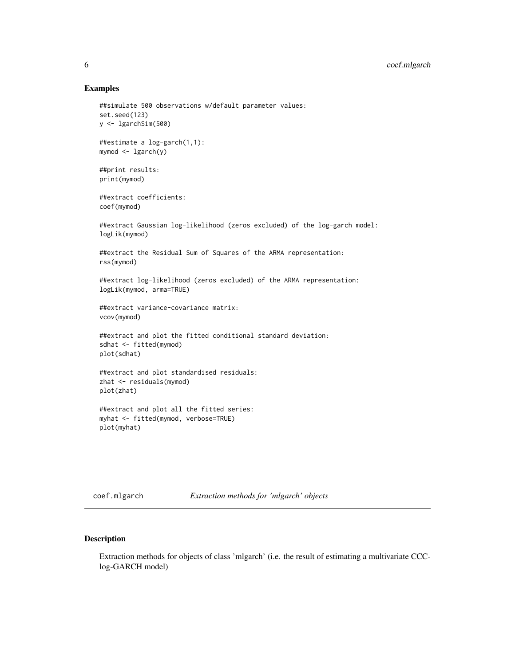#### Examples

```
##simulate 500 observations w/default parameter values:
set.seed(123)
y <- lgarchSim(500)
##estimate a log-garch(1,1):
mymod <- lgarch(y)
##print results:
print(mymod)
##extract coefficients:
coef(mymod)
##extract Gaussian log-likelihood (zeros excluded) of the log-garch model:
logLik(mymod)
##extract the Residual Sum of Squares of the ARMA representation:
rss(mymod)
##extract log-likelihood (zeros excluded) of the ARMA representation:
logLik(mymod, arma=TRUE)
##extract variance-covariance matrix:
vcov(mymod)
##extract and plot the fitted conditional standard deviation:
sdhat <- fitted(mymod)
plot(sdhat)
##extract and plot standardised residuals:
zhat <- residuals(mymod)
plot(zhat)
##extract and plot all the fitted series:
myhat <- fitted(mymod, verbose=TRUE)
```
plot(myhat)

<span id="page-5-1"></span>coef.mlgarch *Extraction methods for 'mlgarch' objects*

#### <span id="page-5-2"></span>Description

Extraction methods for objects of class 'mlgarch' (i.e. the result of estimating a multivariate CCClog-GARCH model)

<span id="page-5-0"></span>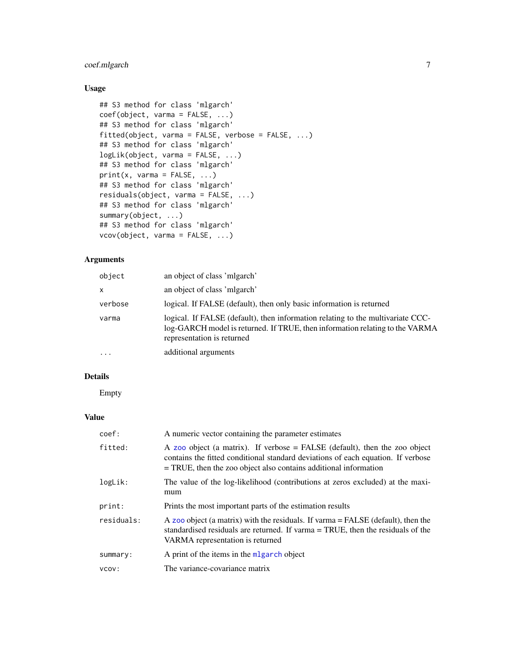# <span id="page-6-0"></span>coef.mlgarch 7

# Usage

```
## S3 method for class 'mlgarch'
coef(object, varma = FALSE, ...)
## S3 method for class 'mlgarch'
fitted(object, varma = FALSE, verbose = FALSE, ...)
## S3 method for class 'mlgarch'
logLik(object, varma = FALSE, ...)
## S3 method for class 'mlgarch'
print(x, varma = FALSE, ...)## S3 method for class 'mlgarch'
residuals(object, varma = FALSE, ...)
## S3 method for class 'mlgarch'
summary(object, ...)
## S3 method for class 'mlgarch'
vcov(object, varma = FALSE, ...)
```
# Arguments

| object  | an object of class 'mlgarch'                                                                                                                                                                  |
|---------|-----------------------------------------------------------------------------------------------------------------------------------------------------------------------------------------------|
| x       | an object of class 'migarch'                                                                                                                                                                  |
| verbose | logical. If FALSE (default), then only basic information is returned                                                                                                                          |
| varma   | logical. If FALSE (default), then information relating to the multivariate CCC-<br>log-GARCH model is returned. If TRUE, then information relating to the VARMA<br>representation is returned |
| .       | additional arguments                                                                                                                                                                          |

# Details

Empty

# Value

| coef:      | A numeric vector containing the parameter estimates                                                                                                                                                                                    |
|------------|----------------------------------------------------------------------------------------------------------------------------------------------------------------------------------------------------------------------------------------|
| fitted:    | A zoo object (a matrix). If verbose $=$ FALSE (default), then the zoo object<br>contains the fitted conditional standard deviations of each equation. If verbose<br>$=$ TRUE, then the zoo object also contains additional information |
| logLik:    | The value of the log-likelihood (contributions at zeros excluded) at the maxi-<br>mum                                                                                                                                                  |
| print:     | Prints the most important parts of the estimation results                                                                                                                                                                              |
| residuals: | A zoo object (a matrix) with the residuals. If varma $=$ FALSE (default), then the<br>standardised residuals are returned. If varma = TRUE, then the residuals of the<br>VARMA representation is returned                              |
| summary:   | A print of the items in the $mlgarch$ object                                                                                                                                                                                           |
| VCOV:      | The variance-covariance matrix                                                                                                                                                                                                         |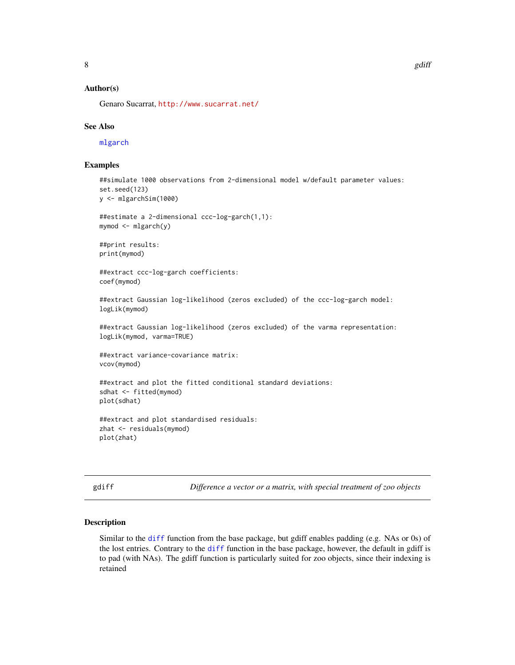# <span id="page-7-0"></span>Author(s)

Genaro Sucarrat, <http://www.sucarrat.net/>

#### See Also

[mlgarch](#page-15-1)

#### Examples

```
##simulate 1000 observations from 2-dimensional model w/default parameter values:
set.seed(123)
```

```
y <- mlgarchSim(1000)
```

```
##estimate a 2-dimensional ccc-log-garch(1,1):
mymod <- mlgarch(y)
```
##print results: print(mymod)

##extract ccc-log-garch coefficients: coef(mymod)

##extract Gaussian log-likelihood (zeros excluded) of the ccc-log-garch model: logLik(mymod)

##extract Gaussian log-likelihood (zeros excluded) of the varma representation: logLik(mymod, varma=TRUE)

```
##extract variance-covariance matrix:
vcov(mymod)
```
##extract and plot the fitted conditional standard deviations: sdhat <- fitted(mymod) plot(sdhat)

```
##extract and plot standardised residuals:
zhat <- residuals(mymod)
plot(zhat)
```
<span id="page-7-1"></span>gdiff *Difference a vector or a matrix, with special treatment of zoo objects*

#### Description

Similar to the [diff](#page-0-0) function from the base package, but gdiff enables padding (e.g. NAs or 0s) of the lost entries. Contrary to the [diff](#page-0-0) function in the base package, however, the default in gdiff is to pad (with NAs). The gdiff function is particularly suited for zoo objects, since their indexing is retained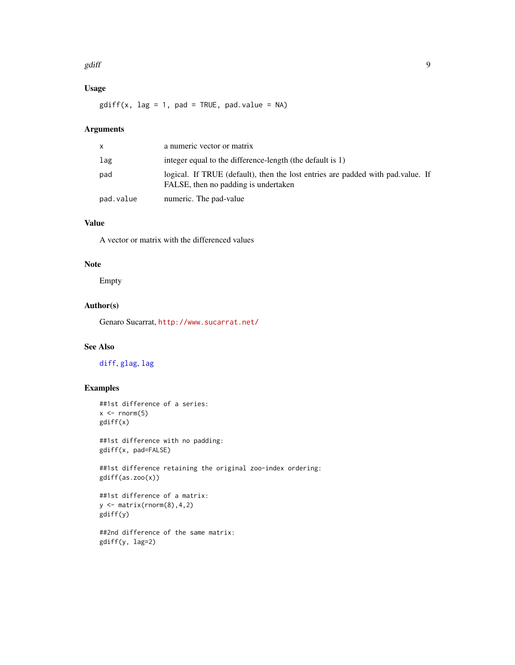#### <span id="page-8-0"></span>gdiff and the set of the set of the set of the set of the set of the set of the set of the set of the set of the set of the set of the set of the set of the set of the set of the set of the set of the set of the set of the

# Usage

 $gdiff(x, lag = 1, pad = TRUE, pad.value = NA)$ 

# Arguments

| X         | a numeric vector or matrix                                                                                              |
|-----------|-------------------------------------------------------------------------------------------------------------------------|
| lag       | integer equal to the difference-length (the default is 1)                                                               |
| pad       | logical. If TRUE (default), then the lost entries are padded with pad value. If<br>FALSE, then no padding is undertaken |
| pad.value | numeric. The pad-value                                                                                                  |

### Value

A vector or matrix with the differenced values

#### Note

Empty

# Author(s)

Genaro Sucarrat, <http://www.sucarrat.net/>

# See Also

[diff](#page-0-0), [glag](#page-9-1), [lag](#page-0-0)

# Examples

```
##1st difference of a series:
x \leftarrow \text{norm}(5)gdiff(x)
```
##1st difference with no padding: gdiff(x, pad=FALSE)

##1st difference retaining the original zoo-index ordering: gdiff(as.zoo(x))

```
##1st difference of a matrix:
y \leftarrow \text{matrix}(rnorm(8), 4, 2)gdiff(y)
```
##2nd difference of the same matrix: gdiff(y, lag=2)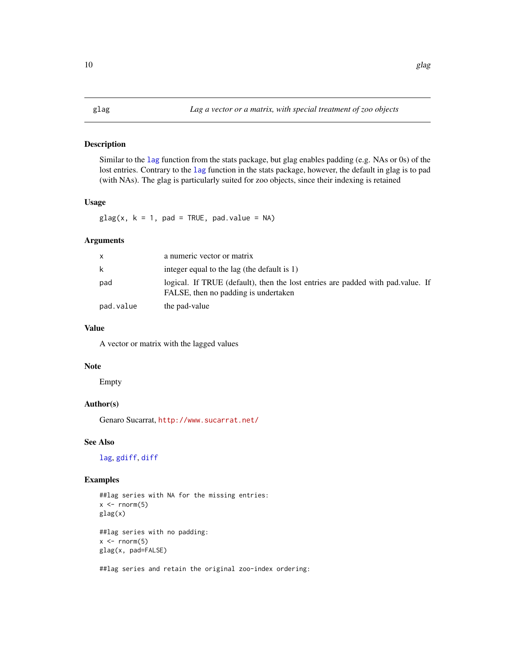# <span id="page-9-1"></span><span id="page-9-0"></span>Description

Similar to the [lag](#page-0-0) function from the stats package, but glag enables padding (e.g. NAs or 0s) of the lost entries. Contrary to the [lag](#page-0-0) function in the stats package, however, the default in glag is to pad (with NAs). The glag is particularly suited for zoo objects, since their indexing is retained

# Usage

 $glag(x, k = 1, pad = TRUE, pad.value = NA)$ 

# Arguments

| $\mathsf{x}$ | a numeric vector or matrix                                                                                              |
|--------------|-------------------------------------------------------------------------------------------------------------------------|
| k            | integer equal to the lag (the default is 1)                                                                             |
| pad          | logical. If TRUE (default), then the lost entries are padded with pad value. If<br>FALSE, then no padding is undertaken |
| pad.value    | the pad-value                                                                                                           |

# Value

A vector or matrix with the lagged values

#### Note

Empty

# Author(s)

Genaro Sucarrat, <http://www.sucarrat.net/>

# See Also

[lag](#page-0-0), [gdiff](#page-7-1), [diff](#page-0-0)

# Examples

```
##lag series with NA for the missing entries:
x \leftarrow \text{norm}(5)glag(x)
```
##lag series with no padding:  $x \leftarrow \text{norm}(5)$ glag(x, pad=FALSE)

##lag series and retain the original zoo-index ordering: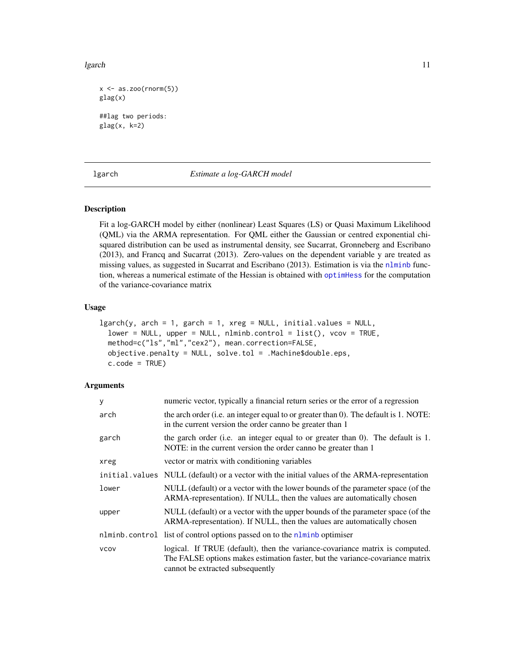<span id="page-10-0"></span>lgarch the contract of the contract of the contract of the contract of the contract of the contract of the contract of the contract of the contract of the contract of the contract of the contract of the contract of the con

```
x \leftarrow as.zoo(rnorm(5))glag(x)
##lag two periods:
glag(x, k=2)
```
<span id="page-10-1"></span>

#### lgarch *Estimate a log-GARCH model*

# Description

Fit a log-GARCH model by either (nonlinear) Least Squares (LS) or Quasi Maximum Likelihood (QML) via the ARMA representation. For QML either the Gaussian or centred exponential chisquared distribution can be used as instrumental density, see Sucarrat, Gronneberg and Escribano (2013), and Francq and Sucarrat (2013). Zero-values on the dependent variable y are treated as missing values, as suggested in Sucarrat and Escribano (2013). Estimation is via the [nlminb](#page-0-0) function, whereas a numerical estimate of the Hessian is obtained with [optimHess](#page-0-0) for the computation of the variance-covariance matrix

#### Usage

```
lgarch(y, arch = 1, garch = 1, xreg = NULL, initial.values = NULL,lower = NULL, upper = NULL, nlminb.control = list(), vcov = TRUE,
 method=c("ls","ml","cex2"), mean.correction=FALSE,
 objective.penalty = NULL, solve.tol = .Machine$double.eps,
  c.\text{code} = \text{TRUE}
```
#### **Arguments**

| y           | numeric vector, typically a financial return series or the error of a regression                                                                                                                  |
|-------------|---------------------------------------------------------------------------------------------------------------------------------------------------------------------------------------------------|
| arch        | the arch order (i.e. an integer equal to or greater than 0). The default is 1. NOTE:<br>in the current version the order canno be greater than 1                                                  |
| garch       | the garch order (i.e. an integer equal to or greater than $0$ ). The default is 1.<br>NOTE: in the current version the order canno be greater than 1                                              |
| xreg        | vector or matrix with conditioning variables                                                                                                                                                      |
|             | initial values NULL (default) or a vector with the initial values of the ARMA-representation                                                                                                      |
| lower       | NULL (default) or a vector with the lower bounds of the parameter space (of the<br>ARMA-representation). If NULL, then the values are automatically chosen                                        |
| upper       | NULL (default) or a vector with the upper bounds of the parameter space (of the<br>ARMA-representation). If NULL, then the values are automatically chosen                                        |
|             | nlminb.control list of control options passed on to the nlminb optimiser                                                                                                                          |
| <b>VCOV</b> | logical. If TRUE (default), then the variance-covariance matrix is computed.<br>The FALSE options makes estimation faster, but the variance-covariance matrix<br>cannot be extracted subsequently |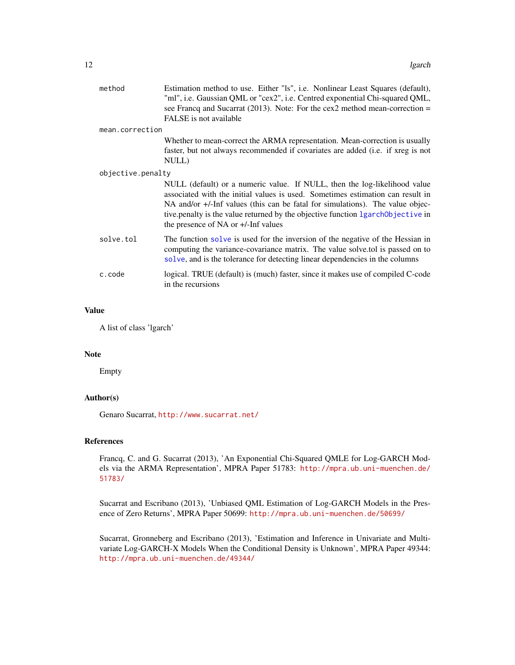<span id="page-11-0"></span>

| method            | Estimation method to use. Either "Is", i.e. Nonlinear Least Squares (default),<br>"ml", i.e. Gaussian QML or "cex2", i.e. Centred exponential Chi-squared QML,<br>see Francq and Sucarrat (2013). Note: For the cex2 method mean-correction $=$<br>FALSE is not available                                                                                                |
|-------------------|--------------------------------------------------------------------------------------------------------------------------------------------------------------------------------------------------------------------------------------------------------------------------------------------------------------------------------------------------------------------------|
| mean.correction   |                                                                                                                                                                                                                                                                                                                                                                          |
|                   | Whether to mean-correct the ARMA representation. Mean-correction is usually<br>faster, but not always recommended if covariates are added (i.e. if xreg is not<br>NULL)                                                                                                                                                                                                  |
| objective.penalty |                                                                                                                                                                                                                                                                                                                                                                          |
|                   | NULL (default) or a numeric value. If NULL, then the log-likelihood value<br>associated with the initial values is used. Sometimes estimation can result in<br>NA and/or +/-Inf values (this can be fatal for simulations). The value objec-<br>tive penalty is the value returned by the objective function 1 garch objective in<br>the presence of NA or +/-Inf values |
| solve.tol         | The function solve is used for the inversion of the negative of the Hessian in<br>computing the variance-covariance matrix. The value solve tol is passed on to<br>solve, and is the tolerance for detecting linear dependencies in the columns                                                                                                                          |
| c.code            | logical. TRUE (default) is (much) faster, since it makes use of compiled C-code<br>in the recursions                                                                                                                                                                                                                                                                     |

#### Value

A list of class 'lgarch'

#### Note

Empty

# Author(s)

Genaro Sucarrat, <http://www.sucarrat.net/>

#### References

Francq, C. and G. Sucarrat (2013), 'An Exponential Chi-Squared QMLE for Log-GARCH Models via the ARMA Representation', MPRA Paper 51783: [http://mpra.ub.uni-muenchen.de/](http://mpra.ub.uni-muenchen.de/51783/) [51783/](http://mpra.ub.uni-muenchen.de/51783/)

Sucarrat and Escribano (2013), 'Unbiased QML Estimation of Log-GARCH Models in the Presence of Zero Returns', MPRA Paper 50699: <http://mpra.ub.uni-muenchen.de/50699/>

Sucarrat, Gronneberg and Escribano (2013), 'Estimation and Inference in Univariate and Multivariate Log-GARCH-X Models When the Conditional Density is Unknown', MPRA Paper 49344: <http://mpra.ub.uni-muenchen.de/49344/>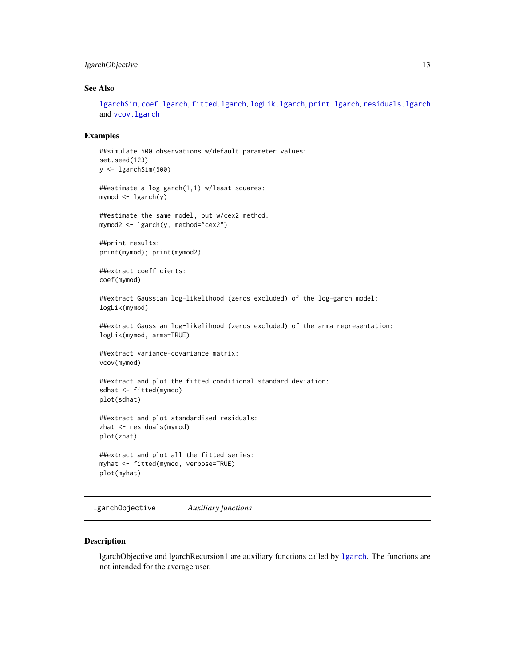# <span id="page-12-0"></span>lgarchObjective 13

# See Also

[lgarchSim](#page-13-1), [coef.lgarch](#page-3-2), [fitted.lgarch](#page-3-1), [logLik.lgarch](#page-3-1), [print.lgarch](#page-3-1), [residuals.lgarch](#page-3-1) and [vcov.lgarch](#page-3-1)

#### Examples

```
##simulate 500 observations w/default parameter values:
set.seed(123)
y <- lgarchSim(500)
##estimate a log-garch(1,1) w/least squares:
mymod <- lgarch(y)
##estimate the same model, but w/cex2 method:
mymod2 <- lgarch(y, method="cex2")
##print results:
print(mymod); print(mymod2)
##extract coefficients:
coef(mymod)
##extract Gaussian log-likelihood (zeros excluded) of the log-garch model:
logLik(mymod)
##extract Gaussian log-likelihood (zeros excluded) of the arma representation:
logLik(mymod, arma=TRUE)
##extract variance-covariance matrix:
vcov(mymod)
##extract and plot the fitted conditional standard deviation:
sdhat <- fitted(mymod)
plot(sdhat)
##extract and plot standardised residuals:
zhat <- residuals(mymod)
plot(zhat)
##extract and plot all the fitted series:
myhat <- fitted(mymod, verbose=TRUE)
plot(myhat)
```
<span id="page-12-1"></span>lgarchObjective *Auxiliary functions*

#### Description

lgarchObjective and lgarchRecursion1 are auxiliary functions called by [lgarch](#page-10-1). The functions are not intended for the average user.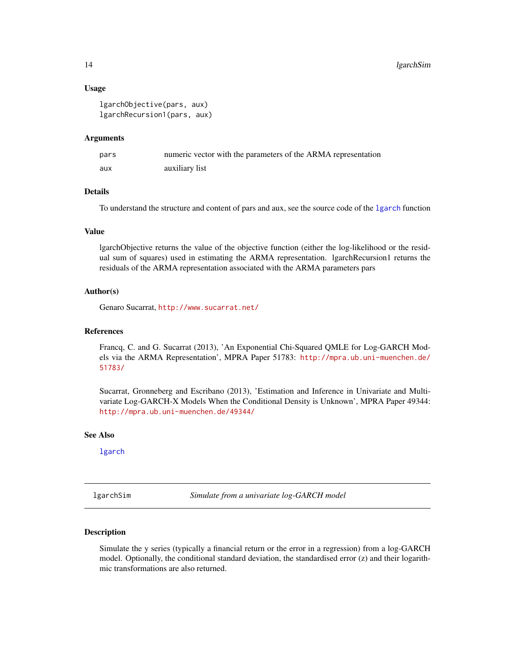#### Usage

```
lgarchObjective(pars, aux)
lgarchRecursion1(pars, aux)
```
#### Arguments

| pars | numeric vector with the parameters of the ARMA representation |
|------|---------------------------------------------------------------|
| aux  | auxiliary list                                                |

#### Details

To understand the structure and content of pars and aux, see the source code of the [lgarch](#page-10-1) function

# Value

lgarchObjective returns the value of the objective function (either the log-likelihood or the residual sum of squares) used in estimating the ARMA representation. lgarchRecursion1 returns the residuals of the ARMA representation associated with the ARMA parameters pars

# Author(s)

Genaro Sucarrat, <http://www.sucarrat.net/>

#### References

Francq, C. and G. Sucarrat (2013), 'An Exponential Chi-Squared QMLE for Log-GARCH Models via the ARMA Representation', MPRA Paper 51783: [http://mpra.ub.uni-muenchen.de/](http://mpra.ub.uni-muenchen.de/51783/) [51783/](http://mpra.ub.uni-muenchen.de/51783/)

Sucarrat, Gronneberg and Escribano (2013), 'Estimation and Inference in Univariate and Multivariate Log-GARCH-X Models When the Conditional Density is Unknown', MPRA Paper 49344: <http://mpra.ub.uni-muenchen.de/49344/>

# See Also

[lgarch](#page-10-1)

<span id="page-13-1"></span>lgarchSim *Simulate from a univariate log-GARCH model*

#### Description

Simulate the y series (typically a financial return or the error in a regression) from a log-GARCH model. Optionally, the conditional standard deviation, the standardised error (z) and their logarithmic transformations are also returned.

<span id="page-13-0"></span>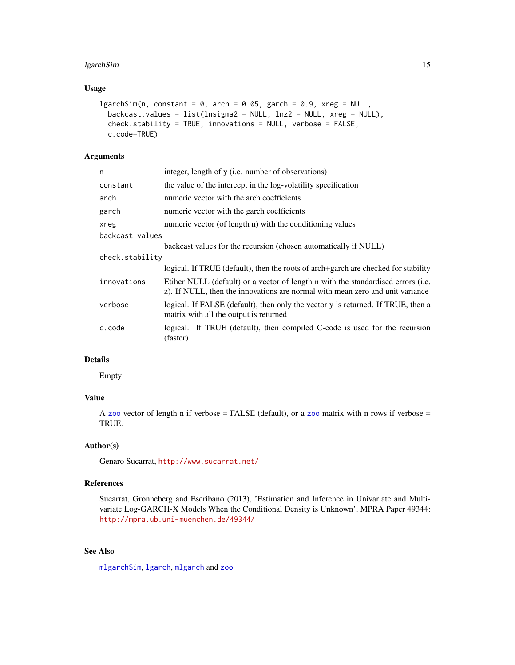# <span id="page-14-0"></span>lgarchSim 15

# Usage

```
lgarchSim(n, constant = 0, arch = 0.05, garch = 0.9, xreg = NULL,backcast.values = list(lnsigma2 = NULL, lnz2 = NULL, xreg = NULL),
 check.stability = TRUE, innovations = NULL, verbose = FALSE,
 c.code=TRUE)
```
# Arguments

| n               | integer, length of y (i.e. number of observations)                                                                                                                |
|-----------------|-------------------------------------------------------------------------------------------------------------------------------------------------------------------|
| constant        | the value of the intercept in the log-volatility specification                                                                                                    |
| arch            | numeric vector with the arch coefficients                                                                                                                         |
| garch           | numeric vector with the garch coefficients                                                                                                                        |
| xreg            | numeric vector (of length n) with the conditioning values                                                                                                         |
| backcast.values |                                                                                                                                                                   |
|                 | backcast values for the recursion (chosen automatically if NULL)                                                                                                  |
| check.stability |                                                                                                                                                                   |
|                 | logical. If TRUE (default), then the roots of arch+garch are checked for stability                                                                                |
| innovations     | Etiher NULL (default) or a vector of length n with the standardised errors (i.e.<br>z). If NULL, then the innovations are normal with mean zero and unit variance |
| verbose         | logical. If FALSE (default), then only the vector y is returned. If TRUE, then a<br>matrix with all the output is returned                                        |
| c.code          | logical. If TRUE (default), then compiled C-code is used for the recursion<br>(faster)                                                                            |

# Details

Empty

# Value

A [zoo](#page-0-0) vector of length n if verbose = FALSE (default), or a zoo matrix with n rows if verbose = TRUE.

#### Author(s)

Genaro Sucarrat, <http://www.sucarrat.net/>

# References

Sucarrat, Gronneberg and Escribano (2013), 'Estimation and Inference in Univariate and Multivariate Log-GARCH-X Models When the Conditional Density is Unknown', MPRA Paper 49344: <http://mpra.ub.uni-muenchen.de/49344/>

# See Also

[mlgarchSim](#page-18-1), [lgarch](#page-10-1), [mlgarch](#page-15-1) and [zoo](#page-0-0)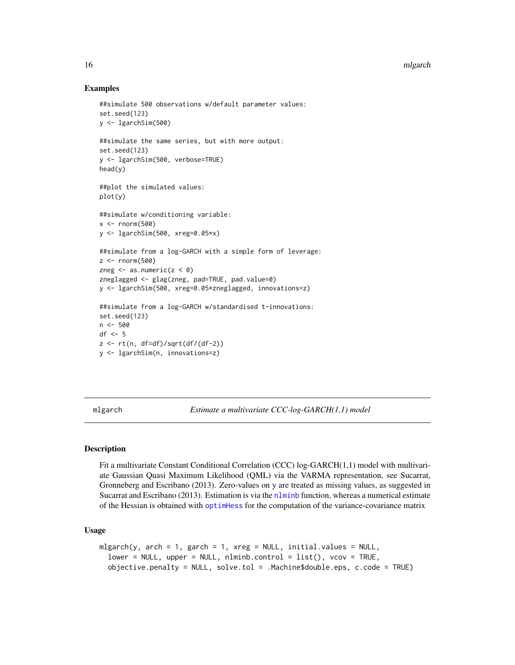#### Examples

```
##simulate 500 observations w/default parameter values:
set.seed(123)
y <- lgarchSim(500)
##simulate the same series, but with more output:
set.seed(123)
y <- lgarchSim(500, verbose=TRUE)
head(y)
##plot the simulated values:
plot(y)
##simulate w/conditioning variable:
x < - rnorm(500)
y <- lgarchSim(500, xreg=0.05*x)
##simulate from a log-GARCH with a simple form of leverage:
z \le- rnorm(500)
zneg \leq as.numeric(z \leq \emptyset)
zneglagged <- glag(zneg, pad=TRUE, pad.value=0)
y <- lgarchSim(500, xreg=0.05*zneglagged, innovations=z)
##simulate from a log-GARCH w/standardised t-innovations:
set.seed(123)
n <- 500
df \leftarrow 5z \leq rt(n, df=df)/sqrt(df/(df-2))y <- lgarchSim(n, innovations=z)
```
<span id="page-15-1"></span>mlgarch *Estimate a multivariate CCC-log-GARCH(1,1) model*

# **Description**

Fit a multivariate Constant Conditional Correlation (CCC) log-GARCH(1,1) model with multivariate Gaussian Quasi Maximum Likelihood (QML) via the VARMA representation, see Sucarrat, Gronneberg and Escribano (2013). Zero-values on y are treated as missing values, as suggested in Sucarrat and Escribano (2013). Estimation is via the [nlminb](#page-0-0) function, whereas a numerical estimate of the Hessian is obtained with [optimHess](#page-0-0) for the computation of the variance-covariance matrix

# Usage

```
mlgarch(y, arch = 1, garch = 1, xreg = NULL, initial.values = NULL,lower = NULL, upper = NULL, nlminb.control = list(), vcov = TRUE,
  objective.penalty = NULL, solve.tol = .Machine$double.eps, c.code = TRUE)
```
<span id="page-15-0"></span>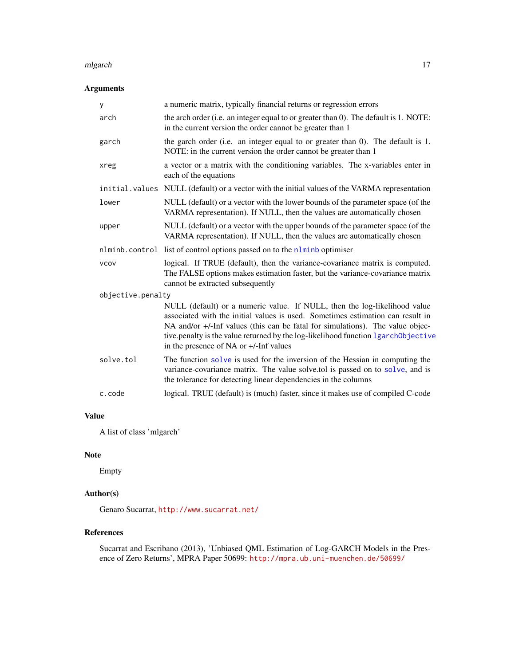#### <span id="page-16-0"></span>mlgarch 17

# Arguments

| У                 | a numeric matrix, typically financial returns or regression errors                                                                                                                                                                                                                                                                                                          |  |
|-------------------|-----------------------------------------------------------------------------------------------------------------------------------------------------------------------------------------------------------------------------------------------------------------------------------------------------------------------------------------------------------------------------|--|
| arch              | the arch order (i.e. an integer equal to or greater than 0). The default is 1. NOTE:<br>in the current version the order cannot be greater than 1                                                                                                                                                                                                                           |  |
| garch             | the garch order (i.e. an integer equal to or greater than 0). The default is 1.<br>NOTE: in the current version the order cannot be greater than 1                                                                                                                                                                                                                          |  |
| xreg              | a vector or a matrix with the conditioning variables. The x-variables enter in<br>each of the equations                                                                                                                                                                                                                                                                     |  |
|                   | initial. values NULL (default) or a vector with the initial values of the VARMA representation                                                                                                                                                                                                                                                                              |  |
| lower             | NULL (default) or a vector with the lower bounds of the parameter space (of the<br>VARMA representation). If NULL, then the values are automatically chosen                                                                                                                                                                                                                 |  |
| upper             | NULL (default) or a vector with the upper bounds of the parameter space (of the<br>VARMA representation). If NULL, then the values are automatically chosen                                                                                                                                                                                                                 |  |
|                   | nlminb.control list of control options passed on to the nlminb optimiser                                                                                                                                                                                                                                                                                                    |  |
| <b>VCOV</b>       | logical. If TRUE (default), then the variance-covariance matrix is computed.<br>The FALSE options makes estimation faster, but the variance-covariance matrix<br>cannot be extracted subsequently                                                                                                                                                                           |  |
| objective.penalty |                                                                                                                                                                                                                                                                                                                                                                             |  |
|                   | NULL (default) or a numeric value. If NULL, then the log-likelihood value<br>associated with the initial values is used. Sometimes estimation can result in<br>NA and/or +/-Inf values (this can be fatal for simulations). The value objec-<br>tive.penalty is the value returned by the log-likelihood function lgarch0bjective<br>in the presence of NA or +/-Inf values |  |
| solve.tol         | The function solve is used for the inversion of the Hessian in computing the<br>variance-covariance matrix. The value solve.tol is passed on to solve, and is<br>the tolerance for detecting linear dependencies in the columns                                                                                                                                             |  |
| c.code            | logical. TRUE (default) is (much) faster, since it makes use of compiled C-code                                                                                                                                                                                                                                                                                             |  |

# Value

A list of class 'mlgarch'

#### Note

Empty

# Author(s)

Genaro Sucarrat, <http://www.sucarrat.net/>

# References

Sucarrat and Escribano (2013), 'Unbiased QML Estimation of Log-GARCH Models in the Presence of Zero Returns', MPRA Paper 50699: <http://mpra.ub.uni-muenchen.de/50699/>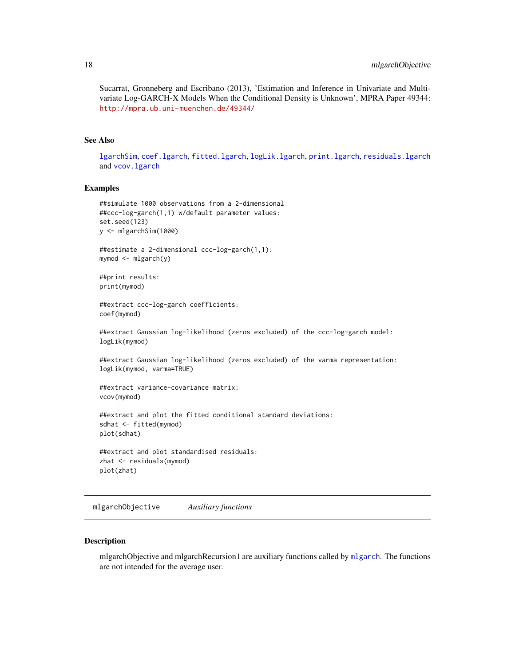<span id="page-17-0"></span>Sucarrat, Gronneberg and Escribano (2013), 'Estimation and Inference in Univariate and Multivariate Log-GARCH-X Models When the Conditional Density is Unknown', MPRA Paper 49344: <http://mpra.ub.uni-muenchen.de/49344/>

# See Also

[lgarchSim](#page-13-1), [coef.lgarch](#page-3-2), [fitted.lgarch](#page-3-1), [logLik.lgarch](#page-3-1), [print.lgarch](#page-3-1), [residuals.lgarch](#page-3-1) and [vcov.lgarch](#page-3-1)

#### Examples

```
##simulate 1000 observations from a 2-dimensional
##ccc-log-garch(1,1) w/default parameter values:
set.seed(123)
y <- mlgarchSim(1000)
##estimate a 2-dimensional ccc-log-garch(1,1):
mymod <- mlgarch(y)
##print results:
print(mymod)
##extract ccc-log-garch coefficients:
coef(mymod)
##extract Gaussian log-likelihood (zeros excluded) of the ccc-log-garch model:
logLik(mymod)
##extract Gaussian log-likelihood (zeros excluded) of the varma representation:
logLik(mymod, varma=TRUE)
##extract variance-covariance matrix:
vcov(mymod)
##extract and plot the fitted conditional standard deviations:
sdhat <- fitted(mymod)
plot(sdhat)
##extract and plot standardised residuals:
zhat <- residuals(mymod)
```
plot(zhat)

mlgarchObjective *Auxiliary functions*

#### Description

mlgarchObjective and mlgarchRecursion1 are auxiliary functions called by [mlgarch](#page-15-1). The functions are not intended for the average user.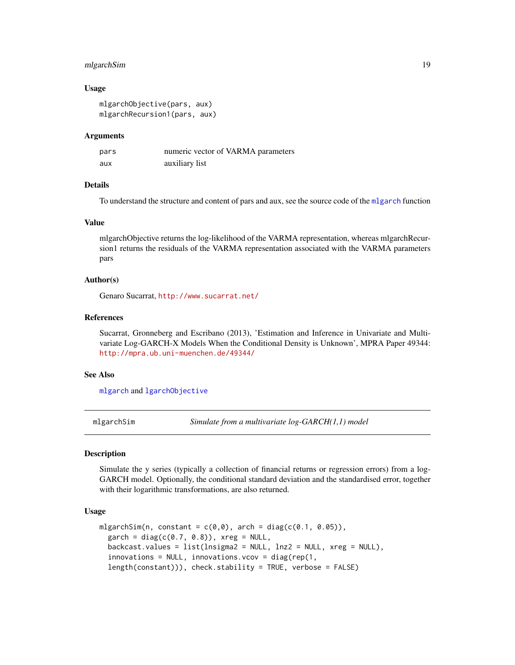# <span id="page-18-0"></span>mlgarchSim 19

#### Usage

```
mlgarchObjective(pars, aux)
mlgarchRecursion1(pars, aux)
```
#### Arguments

| pars | numeric vector of VARMA parameters |
|------|------------------------------------|
| aux  | auxiliary list                     |

# Details

To understand the structure and content of pars and aux, see the source code of the [mlgarch](#page-15-1) function

#### Value

mlgarchObjective returns the log-likelihood of the VARMA representation, whereas mlgarchRecursion1 returns the residuals of the VARMA representation associated with the VARMA parameters pars

#### Author(s)

Genaro Sucarrat, <http://www.sucarrat.net/>

#### References

Sucarrat, Gronneberg and Escribano (2013), 'Estimation and Inference in Univariate and Multivariate Log-GARCH-X Models When the Conditional Density is Unknown', MPRA Paper 49344: <http://mpra.ub.uni-muenchen.de/49344/>

#### See Also

[mlgarch](#page-15-1) and [lgarchObjective](#page-12-1)

<span id="page-18-1"></span>mlgarchSim *Simulate from a multivariate log-GARCH(1,1) model*

#### **Description**

Simulate the y series (typically a collection of financial returns or regression errors) from a log-GARCH model. Optionally, the conditional standard deviation and the standardised error, together with their logarithmic transformations, are also returned.

#### Usage

```
mlgarchSim(n, constant = c(\theta, \theta), arch = diag(c(\theta.1, \theta.05)),
  garch = diag(c(0.7, 0.8)), xreg = NULL,
  backcast.values = list(lnsigma2 = NULL, lnz2 = NULL, xreg = NULL),
  innovations = NULL, innovations.cov = diag(rep(1,length(constant))), check.stability = TRUE, verbose = FALSE)
```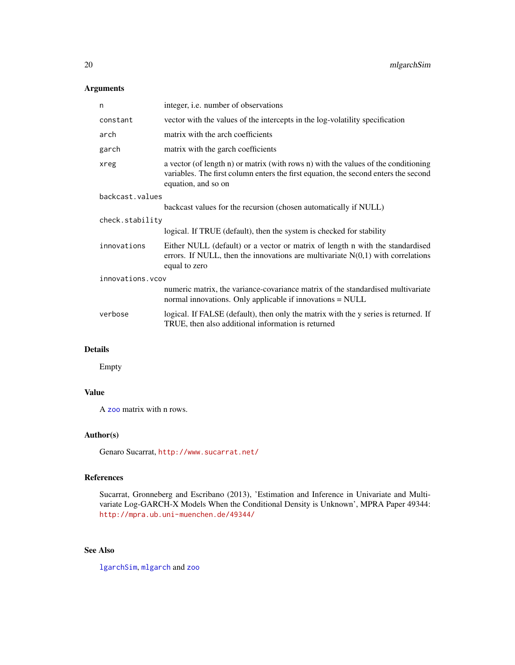# <span id="page-19-0"></span>Arguments

| n                 | integer, i.e. number of observations                                                                                                                                                             |  |
|-------------------|--------------------------------------------------------------------------------------------------------------------------------------------------------------------------------------------------|--|
| constant          | vector with the values of the intercepts in the log-volatility specification                                                                                                                     |  |
| arch              | matrix with the arch coefficients                                                                                                                                                                |  |
| garch             | matrix with the garch coefficients                                                                                                                                                               |  |
| xreg              | a vector (of length n) or matrix (with rows n) with the values of the conditioning<br>variables. The first column enters the first equation, the second enters the second<br>equation, and so on |  |
| backcast.values   |                                                                                                                                                                                                  |  |
|                   | backcast values for the recursion (chosen automatically if NULL)                                                                                                                                 |  |
| check.stability   |                                                                                                                                                                                                  |  |
|                   | logical. If TRUE (default), then the system is checked for stability                                                                                                                             |  |
| innovations       | Either NULL (default) or a vector or matrix of length n with the standardised<br>errors. If NULL, then the innovations are multivariate $N(0,1)$ with correlations<br>equal to zero              |  |
| innovations. vcov |                                                                                                                                                                                                  |  |
|                   | numeric matrix, the variance-covariance matrix of the standardised multivariate<br>normal innovations. Only applicable if innovations = NULL                                                     |  |
| verbose           | logical. If FALSE (default), then only the matrix with the y series is returned. If<br>TRUE, then also additional information is returned                                                        |  |
|                   |                                                                                                                                                                                                  |  |

#### Details

Empty

# Value

A [zoo](#page-0-0) matrix with n rows.

# Author(s)

Genaro Sucarrat, <http://www.sucarrat.net/>

# References

Sucarrat, Gronneberg and Escribano (2013), 'Estimation and Inference in Univariate and Multivariate Log-GARCH-X Models When the Conditional Density is Unknown', MPRA Paper 49344: <http://mpra.ub.uni-muenchen.de/49344/>

# See Also

[lgarchSim](#page-13-1), [mlgarch](#page-15-1) and [zoo](#page-0-0)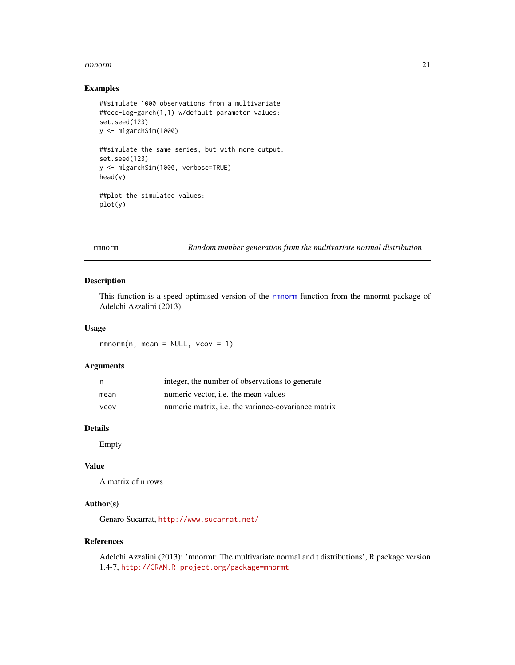#### <span id="page-20-0"></span>rmnorm 21

#### Examples

```
##simulate 1000 observations from a multivariate
##ccc-log-garch(1,1) w/default parameter values:
set.seed(123)
y <- mlgarchSim(1000)
##simulate the same series, but with more output:
set.seed(123)
y <- mlgarchSim(1000, verbose=TRUE)
head(y)
##plot the simulated values:
plot(y)
```
<span id="page-20-1"></span>rmnorm *Random number generation from the multivariate normal distribution*

#### Description

This function is a speed-optimised version of the [rmnorm](#page-20-1) function from the mnormt package of Adelchi Azzalini (2013).

# Usage

 $rmmorm(n, mean = NULL, vcov = 1)$ 

#### Arguments

| n           | integer, the number of observations to generate            |
|-------------|------------------------------------------------------------|
| mean        | numeric vector, <i>i.e.</i> the mean values                |
| <b>VCOV</b> | numeric matrix, <i>i.e.</i> the variance-covariance matrix |

#### Details

Empty

# Value

A matrix of n rows

# Author(s)

Genaro Sucarrat, <http://www.sucarrat.net/>

#### References

Adelchi Azzalini (2013): 'mnormt: The multivariate normal and t distributions', R package version 1.4-7, <http://CRAN.R-project.org/package=mnormt>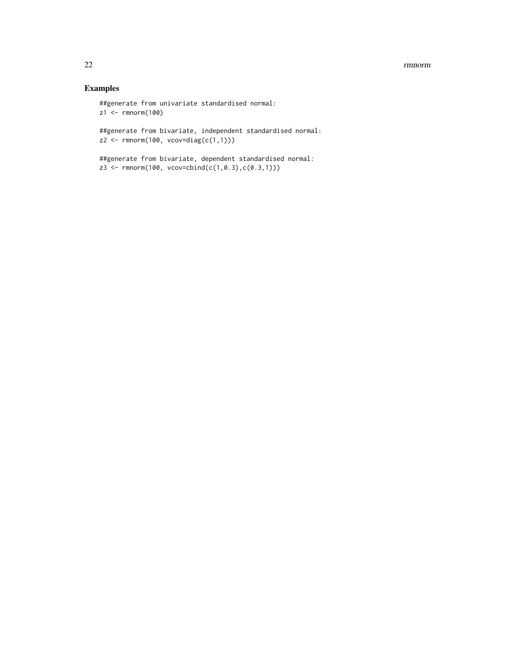#### 22 *mmorm*

# Examples

##generate from univariate standardised normal: z1 <- rmnorm(100)

##generate from bivariate, independent standardised normal:  $z2 \leq -\text{rmnorm}(100, \text{vcov-diag}(c(1,1)))$ 

##generate from bivariate, dependent standardised normal: z3 <- rmnorm(100, vcov=cbind(c(1,0.3),c(0.3,1)))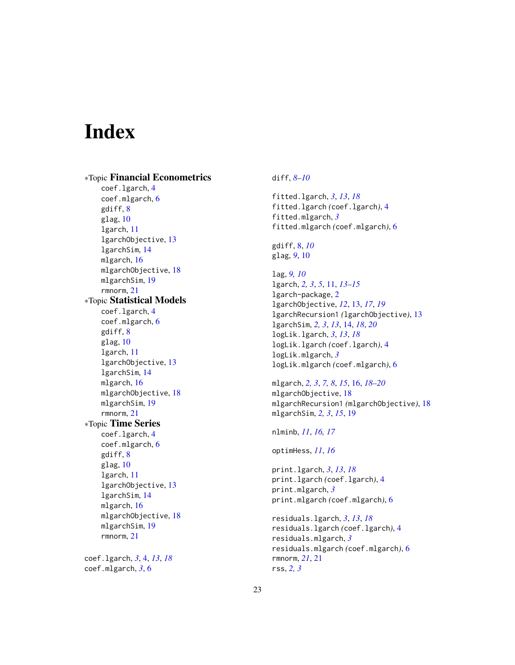# <span id="page-22-0"></span>Index

∗Topic Financial Econometrics coef.lgarch, [4](#page-3-0) coef.mlgarch, [6](#page-5-0) gdiff, [8](#page-7-0) glag, [10](#page-9-0) lgarch, [11](#page-10-0) lgarchObjective, [13](#page-12-0) lgarchSim, [14](#page-13-0) mlgarch, [16](#page-15-0) mlgarchObjective, [18](#page-17-0) mlgarchSim, [19](#page-18-0) rmnorm, [21](#page-20-0) ∗Topic Statistical Models coef.lgarch, [4](#page-3-0) coef.mlgarch, [6](#page-5-0) gdiff, [8](#page-7-0) glag, [10](#page-9-0) lgarch, [11](#page-10-0) lgarchObjective, [13](#page-12-0) lgarchSim, [14](#page-13-0) mlgarch, [16](#page-15-0) mlgarchObjective, [18](#page-17-0) mlgarchSim, [19](#page-18-0) rmnorm, [21](#page-20-0) ∗Topic Time Series coef.lgarch, [4](#page-3-0) coef.mlgarch, [6](#page-5-0) gdiff, [8](#page-7-0) glag, [10](#page-9-0) lgarch, [11](#page-10-0) lgarchObjective, [13](#page-12-0) lgarchSim, [14](#page-13-0) mlgarch, [16](#page-15-0) mlgarchObjective, [18](#page-17-0) mlgarchSim, [19](#page-18-0) rmnorm, [21](#page-20-0) coef.lgarch, *[3](#page-2-0)*, [4,](#page-3-0) *[13](#page-12-0)*, *[18](#page-17-0)* coef.mlgarch, *[3](#page-2-0)*, [6](#page-5-0)

# diff, *[8–](#page-7-0)[10](#page-9-0)*

fitted.lgarch, *[3](#page-2-0)*, *[13](#page-12-0)*, *[18](#page-17-0)* fitted.lgarch *(*coef.lgarch*)*, [4](#page-3-0) fitted.mlgarch, *[3](#page-2-0)* fitted.mlgarch *(*coef.mlgarch*)*, [6](#page-5-0)

gdiff, [8,](#page-7-0) *[10](#page-9-0)* glag, *[9](#page-8-0)*, [10](#page-9-0)

lag, *[9,](#page-8-0) [10](#page-9-0)* lgarch, *[2,](#page-1-0) [3](#page-2-0)*, *[5](#page-4-0)*, [11,](#page-10-0) *[13](#page-12-0)[–15](#page-14-0)* lgarch-package, [2](#page-1-0) lgarchObjective, *[12](#page-11-0)*, [13,](#page-12-0) *[17](#page-16-0)*, *[19](#page-18-0)* lgarchRecursion1 *(*lgarchObjective*)*, [13](#page-12-0) lgarchSim, *[2,](#page-1-0) [3](#page-2-0)*, *[13](#page-12-0)*, [14,](#page-13-0) *[18](#page-17-0)*, *[20](#page-19-0)* logLik.lgarch, *[3](#page-2-0)*, *[13](#page-12-0)*, *[18](#page-17-0)* logLik.lgarch *(*coef.lgarch*)*, [4](#page-3-0) logLik.mlgarch, *[3](#page-2-0)* logLik.mlgarch *(*coef.mlgarch*)*, [6](#page-5-0)

mlgarch, *[2,](#page-1-0) [3](#page-2-0)*, *[7,](#page-6-0) [8](#page-7-0)*, *[15](#page-14-0)*, [16,](#page-15-0) *[18](#page-17-0)[–20](#page-19-0)* mlgarchObjective, [18](#page-17-0) mlgarchRecursion1 *(*mlgarchObjective*)*, [18](#page-17-0) mlgarchSim, *[2,](#page-1-0) [3](#page-2-0)*, *[15](#page-14-0)*, [19](#page-18-0)

nlminb, *[11](#page-10-0)*, *[16,](#page-15-0) [17](#page-16-0)*

optimHess, *[11](#page-10-0)*, *[16](#page-15-0)*

print.lgarch, *[3](#page-2-0)*, *[13](#page-12-0)*, *[18](#page-17-0)* print.lgarch *(*coef.lgarch*)*, [4](#page-3-0) print.mlgarch, *[3](#page-2-0)* print.mlgarch *(*coef.mlgarch*)*, [6](#page-5-0)

```
residuals.lgarch, 3, 13, 18
residuals.lgarch (coef.lgarch), 4
residuals.mlgarch, 3
residuals.mlgarch (coef.mlgarch), 6
rmnorm, 21, 21
rss, 2, 3
```